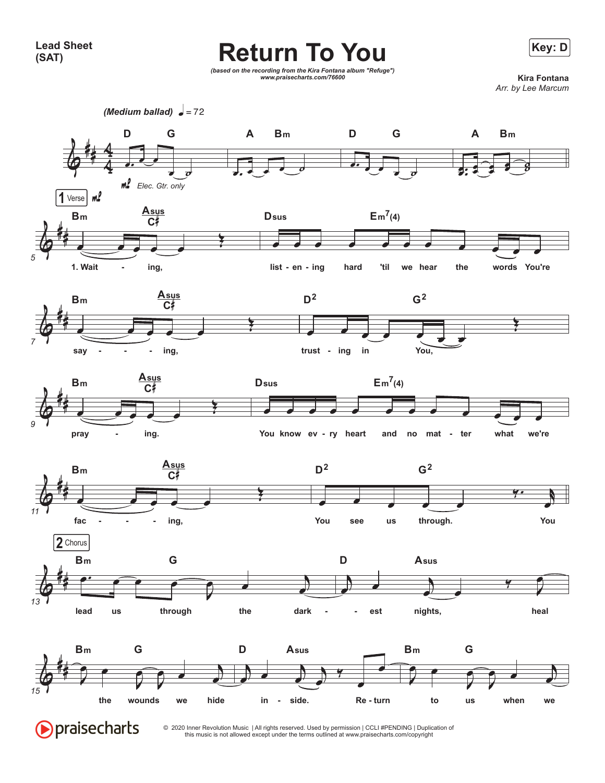## **Key: D Return To You**



*(based on the recording from the Kira Fontana album "Refuge") www.praisecharts.com/76600* **Kira Fontana**

*Arr. by Lee Marcum*

*(Medium ballad)*  $\sqrt{ }$  = 72



© 2020 Inner Revolution Music | All rights reserved. Used by permission | CCLI #PENDING | Duplication of this music is not allowed except under the terms outlined at www.praisecharts.com/copyright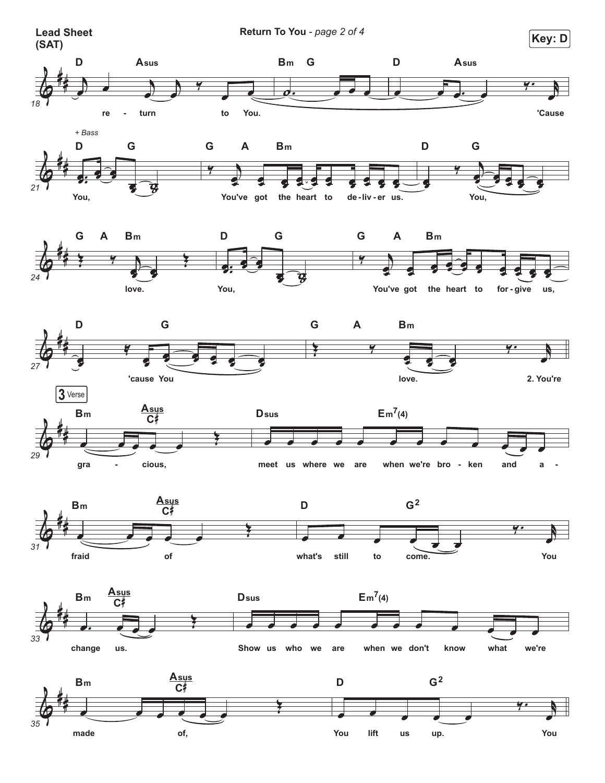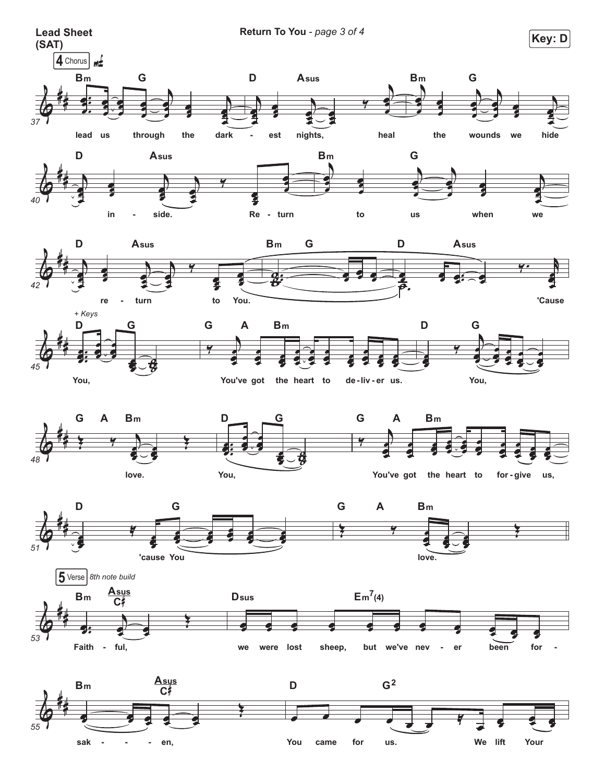